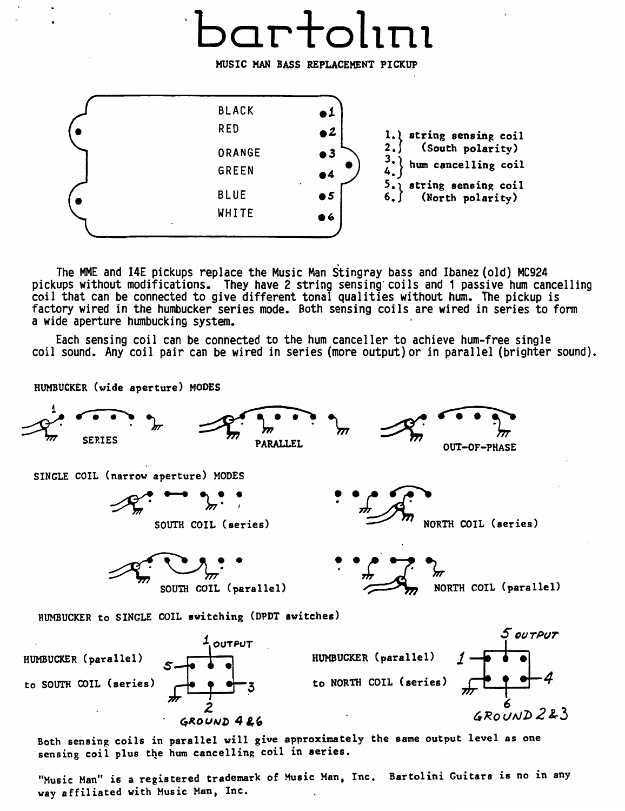## bartol1n1

MUSIC HAN BASS REPLACEMENT PICKUP



The MME and 14E pickups replace the Music Man Stingray bass and Ibanez (old) MC924 pickups without modifications. They have 2 string sensing coils and 1 passive hum cancelling<br>coil that can be connected to give different tonal qualities without hum. The pickup is factory wired in the humbucker series mode. Both sensing coils are wired in series to form a wide aperture humbucking system.

Each sensing coil can be connected to the hum canceller to achieve hum-free single coil sound. Any coil pair can be wired in series (more output) or in parallel (brighter sound).

HUMBUCKER (wide aperture) MODES



sensing coil plus the hum cancelling coil in series.

"Music Man" is a registered trademark of Music Man, Inc. Bartolini Guitars is no in any way affiliated with Music Han, Inc.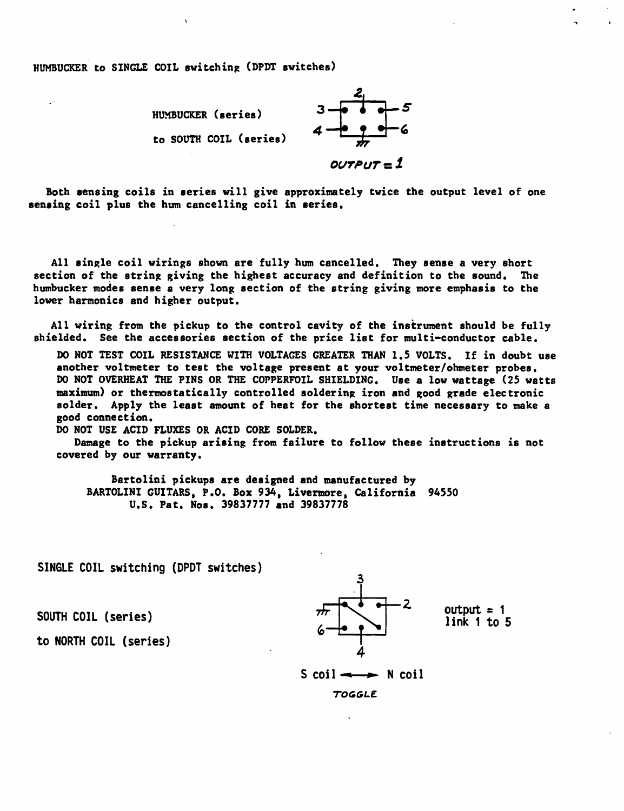HUMBUCKER to SINGLE COIL switching (DPDT switches)

..



Both sensing coils in series will give approximately twice the output level of one sensing coil plus the hum cancelling coil in aeries.

All single coil wirings shown are fully hum cancelled. They sense a very short section of the string giving the highest accuracy and definition to the sound. The humbucker modes sense a very long section of the string giving more emphasis to the lower harmonics and higher output.

All wiring from the pickup to the control cavity of the instrument should be fully shielded. See the accessories section of the price list for multi-conductor cable.

DO NOT TEST COIL RESISTANCE WITH VOLTAGES GREATER THAN 1.5 VOLTS. If in doubt use another voltmeter to test the voltage present at your voltmeter/ohmeter probes. DO NOT OVERHEAT THE PINS OR THE COPPERFOIL SHIELDING. Use a low wattage (25 watts maximum) or thermostatically controlled soldering iron and good grade electronic solder. Apply the least amount of heat for the shortest time necessary to make a good connection.

DO NOT USE ACID FLUXES OR ACID CORE SOLDER.

Damage to the pickup arising from failure to follow these instructions is not covered by our warranty.

Bartolini pickups are designed and manufactured by BARTOLINI GUITARS, P.O. Box 934, Livermore, California 94550 u.s. Pat. Nos. 39837777 and 39837778

SINGLE COIL switching (DPDT switches)

SOUTH COIL (series)

to NORTH COIL (series)



link 1 to 5

$$
S \text{ coil} \longrightarrow N \text{ coil}
$$

*TOGGLE.*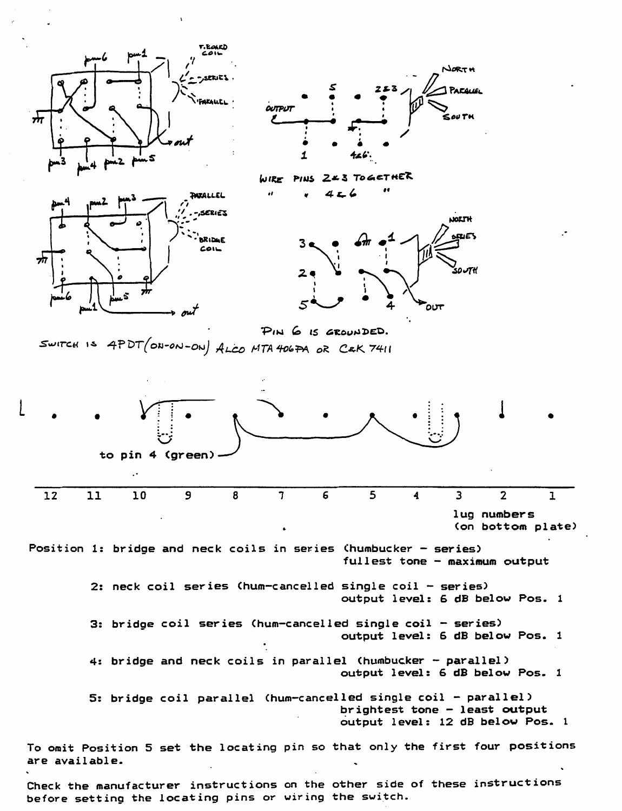